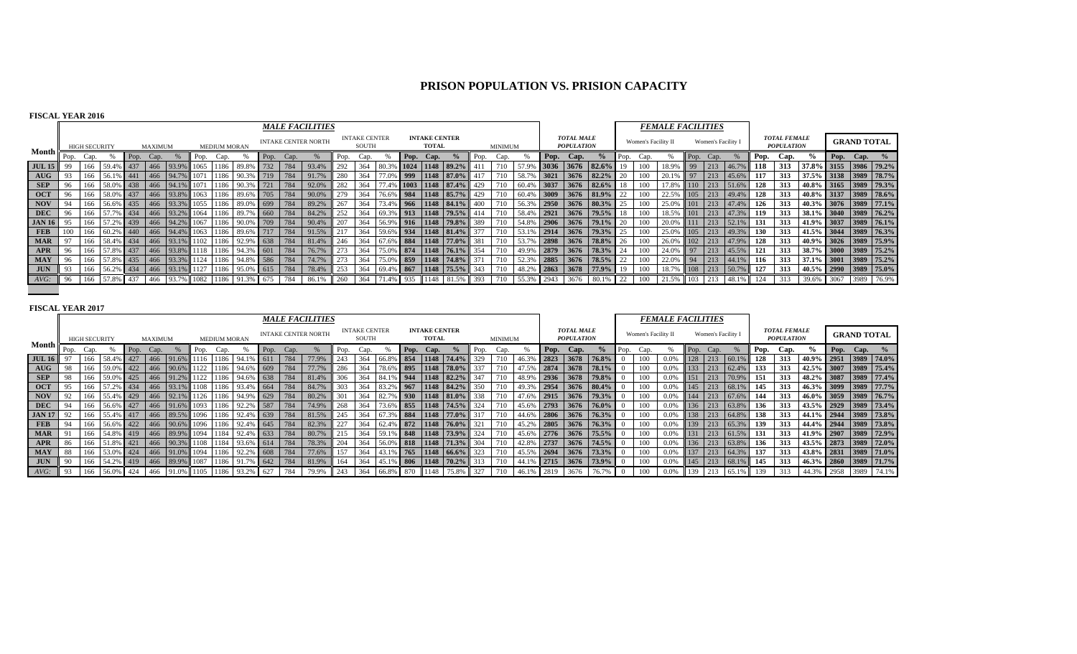# **PRISON POPULATION VS. PRISION CAPACITY**

## **FISCAL YEAR 2016**

|               |      |                      |               |      |                |            |      |                     |                                               |            |      | <b>MALE FACILITIES</b>     |      |                               |              |      |                                      |                       |      |         |                 |                  |                                        |                 |      |                     | <i><b>FEMALE FACILITIES</b></i> |             |                    |           |      |                                          |                       |                    |  |
|---------------|------|----------------------|---------------|------|----------------|------------|------|---------------------|-----------------------------------------------|------------|------|----------------------------|------|-------------------------------|--------------|------|--------------------------------------|-----------------------|------|---------|-----------------|------------------|----------------------------------------|-----------------|------|---------------------|---------------------------------|-------------|--------------------|-----------|------|------------------------------------------|-----------------------|--------------------|--|
|               |      | <b>HIGH SECURITY</b> |               |      | <b>MAXIMUM</b> |            |      | <b>MEDIUM MORAN</b> |                                               |            |      | <b>INTAKE CENTER NORTH</b> |      | <b>INTAKE CENTER</b><br>SOUTH |              |      | <b>INTAKE CENTER</b><br><b>TOTAL</b> |                       |      | MINIMUM |                 |                  | <b>TOTAL MALE</b><br><b>POPULATION</b> |                 |      | Women's Facility II |                                 |             | Women's Facility I |           |      | <b>TOTAL FEMALE</b><br><b>POPULATION</b> |                       | <b>GRAND TOTAL</b> |  |
| <b>Month</b>  | Pop. | Cap.                 |               | Pop. | Cap.           |            | Pop. | Cap.                |                                               | Pop.       | Cap. |                            | Pop. | Cap.                          |              | Pop. | Cap.                                 |                       | Pop. | Cap.    |                 | Pop.             | Cap.                                   | %               | Pop. | Cap.                |                                 | Pop.        | Cap.               |           | Pop. | Cap.                                     | $\%$                  | Pop. Cap.          |  |
| <b>JUL 15</b> | 99   | 166                  | 59.4% 437     |      | 466            | 93.9%      |      | 1065 1186           | 89.89                                         | 732        | 784  | 93.4%                      | 292  | 364                           | 80.3% 1024 L |      |                                      | 1148 89.2%            |      | 710     | 57.9%           |                  |                                        | 3036 3676 82.6% | 19   | 100-                | 18.9%                           | 99          | 213                | 46.79     | 118  | 313                                      | 37.8% 3155 3986 79.2% |                    |  |
| AUG           | 93   | 166                  | 56.1% 441     |      |                | 466 94.7%  |      | 1186                |                                               | <b>719</b> | 784  | 91.7%                      | 280  | 364                           | 77.0% 999    |      |                                      | 1148 87.0%            |      | 710     | 58.7%           | $3021$           | 3676                                   | 82.2%           | 20   | 100                 | 20.1%                           | $\sqrt{97}$ | 213                | 45.6%     | 117  | 313                                      | 37.5% 3138 3989 78.7% |                    |  |
| <b>SEP</b>    |      |                      | 166 58.0% 438 |      |                |            |      |                     | 466 94.1% 1071 1186 90.3% 721                 |            | 784  | 92.0%                      | 282  | 364                           |              |      |                                      | 77.4% 1003 1148 87.4% | 429  | 710     | 60.4% 3037      |                  |                                        | $3676$ 82.6%    | 18   | 100                 | 17.8%                           | 110         | 213                | 51.6%     | 128  | 313                                      | 40.8% 3165 3989 79.3% |                    |  |
| <b>OCT</b>    |      | 166                  | 58.0% 437     |      |                |            |      |                     | 466 93.8% 1063 1186 89.6% 705                 |            | 784  | 90.0%                      | 279  | 364                           |              |      |                                      | 76.6% 984 1148 85.7%  | 429  | 710     | 60.4% 3009      |                  | 3676                                   | $81.9\%$        | 22   | 100                 | 22.5%                           | 105         | 213                | 49.4%     | 128  | 313                                      | 40.8% 3137 3989 78.6% |                    |  |
| <b>NOV</b>    | 94   | 166                  | 56.6% 435     |      |                |            |      |                     | 466 93.3% 1055 1186 89.0% 699                 |            |      | 89.2%                      | 267  | 364                           |              |      |                                      | 73.4% 966 1148 84.1%  | 400  | 710     | 56.3%           | 2950             | 3676                                   | 80.3%           | 25   | 100                 | 25.0%                           |             | 213                | 47.4%     | 126  | 313                                      | 40.3% 3076 3989 77.1% |                    |  |
| <b>DEC</b>    | 96   |                      | 166 57.7% 434 |      |                |            |      |                     | 466 93.2% 1064 1186 89.7% 660 784             |            |      | 84.2%                      | 252  | 364                           |              |      |                                      | 69.3% 913 1148 79.5%  | 414  | 710     | 58.4% 2921      |                  | 3676                                   | $79.5\%$ 18     |      | 100                 | 18.5%                           | 101         | 213                | 47.3%     | 119  | 313                                      | 38.1% 3040 3989 76.2% |                    |  |
| <b>JAN 16</b> | 95   | 166                  | 57.2% 439     |      |                |            |      |                     | $1466$   94.2%   1067   1186   90.0%   709    |            |      | 90.4%                      | 207  | 364                           |              |      |                                      | 56.9% 916 1148 79.8%  | 389  | 710     | 54.8% 2906      |                  | 3676                                   | 79.1%           | 20   | 100                 | 20.0%                           | 111         |                    | 213 52.1% | 131  | 313                                      | 41.9% 3037 3989 76.1% |                    |  |
| <b>FEB</b>    | 100  |                      | 166 60.2% 440 |      |                |            |      |                     | 466   94.4%   1063   1186   89.6%   717   784 |            |      | 91.5%                      | 217  | 364                           |              |      |                                      | 59.6% 934 1148 81.4%  | 377  | 710     | 53.1% 2914 3676 |                  |                                        | 79.3%           | 25   | 100                 | 25.0%                           | 105         |                    | 213 49.3% | 130  | 313                                      | 41.5% 3044 3989 76.3% |                    |  |
| <b>MAR</b>    |      |                      | 166 58.4% 434 |      |                |            |      |                     | 466 93.1% 1102 1186 92.9% 638 784             |            |      | 81.4%                      | 246  | 364                           |              |      |                                      | 67.6% 884 1148 77.0%  | 381  | 710     | 53.7%           | $\frac{1}{2898}$ | 3676                                   | 78.8%           | 26   | 100                 | 26.0%                           | 102         |                    | 213 47.9% | 128  | 313                                      | 40.9% 3026 3989 75.9% |                    |  |
| APR           | 96   |                      | 166 57.8% 437 |      |                |            |      |                     | 466 93.8% 1118 1186 94.3% 601                 |            | 1784 | 76.7%                      | 273  | 364                           |              |      |                                      | 75.0% 874 1148 76.1%  | 354  | 710     | 49.9% 2879      |                  | 3676                                   | 78.3%           | 24   | 100.                | 24.0%                           | 97          | 213                | 45.5%     | 121  | 313                                      | 38.7% 3000 3989 75.2% |                    |  |
| <b>MAY</b>    | 96   | 166                  | 57.8% 435     |      |                |            |      |                     | 466 93.3% 1124 1186 94.8% 586 784             |            |      | 74.7%                      | 273  | 364                           | 75.0% 859    |      |                                      | 1148 74.8%            | 371  | 710     | 1 52.3%         | 2885             | 3676                                   | 78.5%           | 22   | 100                 | 22.0%                           | 94          | 213                | 44.1%     | 116  | 313                                      | 37.1% 3001 3989 75.2% |                    |  |
| <b>JUN</b>    | 93   | 166                  | 56.2% 434     |      |                |            |      |                     | 466 93.1% 1127 1186 95.0% 615                 |            | 784  | 78.4%                      | 253  | 364                           |              |      |                                      | 69.4% 867 1148 75.5%  | 343  | 710     | 148.2%          | 2863             | 3678                                   | 77.9%           | 19   | 100                 | 18.7%                           | 108         | 213                | 50.7%     | 127  | 313                                      | 40.5% 2990 3989 75.0% |                    |  |
| AVG:          |      | 166                  | 57.8% 437     |      | 466            | 93.7% 1082 |      | 1186                | 91.3%                                         | 675        | 784  | 86.1%                      | 260  | 364                           | 71.4% 935    |      | 1148                                 | 81.5%                 | 393  | 710     | 55.3% 2943      |                  | 3676                                   | 80.1            | 22   | 100                 | 21.5%                           | 103         | 213                | 48.1%     | 124  | 313                                      | 39.6% 3067 3989 76.9% |                    |  |
|               |      |                      |               |      |                |            |      |                     |                                               |            |      |                            |      |                               |              |      |                                      |                       |      |         |                 |                  |                                        |                 |      |                     |                                 |             |                    |           |      |                                          |                       |                    |  |

|                                    |    |                      |               |      |         |                |      |                     |                                               |        |      | <b>MALE FACILITIES</b>     |      |                               |                          |      |                                      |                          |      |         |       |            |                                        |                       |          |                     | <b>FEMALE FACILITIES</b> |      |                    |               |      |                                          |                       |      |                    |                       |
|------------------------------------|----|----------------------|---------------|------|---------|----------------|------|---------------------|-----------------------------------------------|--------|------|----------------------------|------|-------------------------------|--------------------------|------|--------------------------------------|--------------------------|------|---------|-------|------------|----------------------------------------|-----------------------|----------|---------------------|--------------------------|------|--------------------|---------------|------|------------------------------------------|-----------------------|------|--------------------|-----------------------|
|                                    |    | <b>HIGH SECURITY</b> |               |      | MAXIMUM |                |      | <b>MEDIUM MORAN</b> |                                               |        |      | <b>INTAKE CENTER NORTH</b> |      | <b>INTAKE CENTER</b><br>SOUTH |                          |      | <b>INTAKE CENTER</b><br><b>TOTAL</b> |                          |      | MINIMUM |       |            | <b>TOTAL MALE</b><br><b>POPULATION</b> |                       |          | Women's Facility II |                          |      | Women's Facility I |               |      | <b>TOTAL FEMALE</b><br><b>POPULATION</b> |                       |      | <b>GRAND TOTAL</b> |                       |
| Month I                            |    | Pop. Cap.            |               | Pop. | Cap.    |                | Pop. | Cap.                |                                               | l Pop. | Cap. |                            | Pop. | Cap.                          |                          | Pop. | Cap.                                 | $\frac{0}{2}$            | Pop. | Cap.    |       | Pop.       | Cap.                                   | $\frac{6}{9}$         | Pop.     | Cap.                |                          | Pop. | Can.               |               | Pop. | Cap.                                     |                       | Pop. | Cap. $\%$          |                       |
| <b>JUL 16</b>                      |    | 166                  | 58.4% 427     |      |         | 466 91.6%      |      |                     | 1116 1186 94.1% 611                           |        | 784  | 77.9%                      | 243  | 364                           |                          |      |                                      | $6$ 854 1148 74.4%       | 329  |         |       | 2823       | 3678                                   | 76.8%                 |          | 100                 | 0.0%                     | 128  | 213                | 60.1%         | 128  | 313                                      | 40.9%                 | 2951 |                    | 3989 74.0%            |
| $\mathbf{A} \mathbf{U} \mathbf{G}$ | 98 | 166                  | 59.0% 422     |      |         | 466 90.6% 1122 |      |                     | 1186 94.6% 609                                |        | 784  | 77.7%                      | 286  | 364                           |                          |      |                                      | 78.6% 895 1148 78.0%     | 337  |         | 47.5% | 2874       | 3678                                   | 78.1%                 |          | 100                 | 0.0%                     | 133  |                    | 213 62.4%     | 133  | 313                                      |                       |      |                    | 42.5% 3007 3989 75.4% |
| <b>SEP</b>                         | 98 | 166                  | 59.0% 425     |      |         | 466 91.2%      |      |                     | 1122 1186 94.6% 638                           |        | 784  | 81.4%                      | 306  | 364                           | 84.1% 944 1148 82.2%     |      |                                      |                          | 347  |         | 48.9% |            | 2936 3678                              | 79.8%                 |          | 100                 | 0.0%                     | 151  | 213                | 70.9%         | 151  | 313                                      | 48.2% 3087            |      |                    | 3989 77.4%            |
| <b>OCT</b>                         |    | 166                  | 57.2% 434     |      |         | 466 93.1%      |      |                     | 1108 1186 93.4% 664                           |        | 784  | 84.7%                      | 303  | 364                           | 83.2% 967 1148 84.2%     |      |                                      |                          | 350  |         | 49.3% | 2954       | 3676                                   | $80.4\%$              |          | 100                 | $0.0\%$                  | 145  |                    | 213 68.1%     | 145  | 313                                      | 46.3% 3099 3989 77.7% |      |                    |                       |
| <b>NOV</b>                         |    |                      | 166 55.4% 429 |      |         |                |      |                     | 466 92.1% 1126 1186 94.9% 629                 |        | 784  | 80.2%                      | 301  | 364                           | 82.7% 930 1148 81.0% 338 |      |                                      |                          |      |         |       |            |                                        | 47.6% 2915 3676 79.3% |          | 100                 | 0.0%                     | 144  |                    | $213$ 67.6%   | 144  | 313                                      | 46.0% 3059 3989 76.7% |      |                    |                       |
| <b>DEC</b>                         | 94 |                      | 166 56.6% 427 |      |         |                |      |                     | 466 91.6% 1093 1186 92.2% 587 784             |        |      | 74.9%                      | 268  | 364                           |                          |      |                                      | 73.6% 855 1148 74.5% 324 |      | 710     | 45.6% |            |                                        | $2793$ 3676 76.0%     |          | 100                 | $0.0\%$                  |      |                    | 136 213 63.8% | 136  | 313                                      | 43.5% 2929 3989 73.4% |      |                    |                       |
| <b>JAN 17</b>                      |    |                      | 166 55.4% 417 |      |         |                |      |                     | 466 89.5% 1096 1186 92.4% 639                 |        | 784  | 81.5%                      | 245  | 364                           | 67.3% 884 1148 77.0%     |      |                                      |                          | 317  | 710     | 44.6% |            |                                        | 2806 3676 76.3%       |          | 100                 | $0.0\%$                  |      |                    | 138 213 64.8% | 138  | 313                                      |                       |      |                    | 44.1% 2944 3989 73.8% |
| <b>FEB</b>                         | 94 |                      | 166 56.6% 422 |      |         |                |      |                     | 466 90.6% 1096 1186 92.4% 645                 |        | 784  | 82.3%                      | 227  | 364                           | 62.4% 872 1148 76.0%     |      |                                      |                          | 321  |         | 45.2% | 2805       | 13676                                  | $76.3\%$              |          | 100                 | 0.0%                     | 139  |                    | 213 65.3%     | 139  | 313                                      | 44.4% 2944 3989 73.8% |      |                    |                       |
| <b>MAR</b>                         |    | 166                  | 54.8% 419     |      |         |                |      |                     | 466 89.9% 1094 1184 92.4% 633                 |        | 784  | 80.7%                      | 215  | 364                           |                          |      |                                      | $6$ 848 1148 73.9%       | 324  |         | 45.6% |            | 2776 3676                              | $75.5\%$              |          | 100                 | 0.0%                     | 131  |                    | 213 61.5%     | 131  | 313                                      | 41.9% 2907 3989 72.9% |      |                    |                       |
| APR                                | 86 | 166                  | 51.8% 421     |      |         | 466 90.3%      |      |                     | 1108 1184 93.6% 614                           |        | 784  | 78.3%                      | 204  | 364                           | 56.0% 818 1148 71.3%     |      |                                      |                          | 304  | 710     | 42.8% | 2737       | 3676                                   | $74.5\%$              |          | 100                 | $0.0\%$                  | 136  |                    | 213 63.8%     | 136  | 313                                      | 43.5% 2873 3989 72.0% |      |                    |                       |
| <b>MAY</b>                         | 88 | 166                  | 53.0% 424     |      |         |                |      |                     | 466 91.0% 1094 1186 92.2% 608                 |        | 784  | 77.6%                      | 157  | 364                           | 43.1% 765 1148 66.6%     |      |                                      |                          | 323  |         | 45.5% |            |                                        | 2694 3676 73.3%       |          | 100                 | $0.0\%$                  | 137  |                    | 213 64.3%     | 137  | 313                                      | 43.8% 2831 3989 71.0% |      |                    |                       |
| <b>JUN</b>                         |    |                      | 166 54.2% 419 |      |         |                |      |                     | 466   89.9%   1087   1186   91.7%   642   784 |        |      | 81.9%                      | 164  | 364                           | 45.1% 806 1148 70.2%     |      |                                      |                          | 313  | 710     |       |            |                                        | 44.1% 2715 3676 73.9% |          | 100                 | $0.0\%$                  |      |                    | 145 213 68.1% | 145  | 313                                      | 46.3% 2860 3989 71.7% |      |                    |                       |
| AVG:                               |    | 166                  | 56.0% 424     |      |         | 466 91.0% 1105 |      |                     | 1186 93.2%                                    |        |      | 79.9%                      | 243  | 364                           | 66.8% 870 1148 75.8%     |      |                                      |                          | 327  |         |       | 46.1% 2819 | 3676                                   |                       | $\Omega$ | 100                 | $0.0\%$                  | 139  |                    | 65.1%         | 139  | 313                                      | 44.3% 2958            |      |                    | 3989 74.1%            |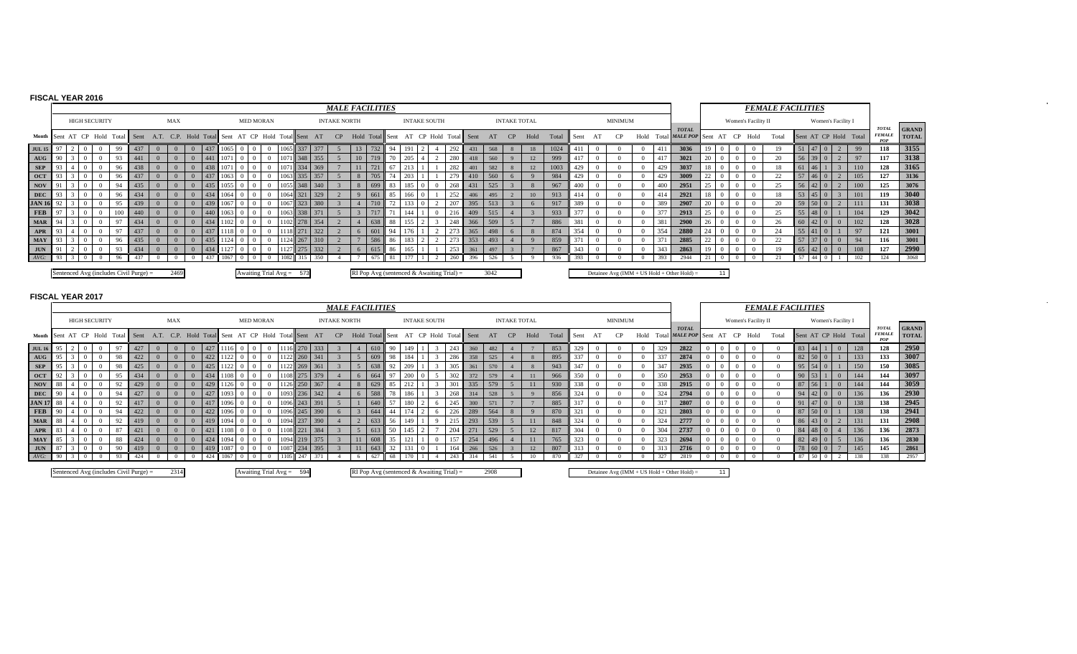# **FISCAL YEAR 2016**

|                                    |     |  |                      |                |                                        |                                                                                  |     |      |            |                            |      |           |         | <b>MALE FACILITIES</b> |                                             |    |                     |     |                       |      |                     |                  |       |      |                |            |      |                                             |    |                     | <b>FEMALE FACILITIES</b> |      |                 |                    |                       |                                      |                              |
|------------------------------------|-----|--|----------------------|----------------|----------------------------------------|----------------------------------------------------------------------------------|-----|------|------------|----------------------------|------|-----------|---------|------------------------|---------------------------------------------|----|---------------------|-----|-----------------------|------|---------------------|------------------|-------|------|----------------|------------|------|---------------------------------------------|----|---------------------|--------------------------|------|-----------------|--------------------|-----------------------|--------------------------------------|------------------------------|
|                                    |     |  | <b>HIGH SECURITY</b> |                |                                        | <b>MAX</b>                                                                       |     |      |            | <b>MED MORAN</b>           |      |           |         | <b>INTAKE NORTH</b>    |                                             |    | <b>INTAKE SOUTH</b> |     |                       |      | <b>INTAKE TOTAL</b> |                  |       |      | <b>MINIMUM</b> |            |      |                                             |    | Women's Facility II |                          |      |                 | Women's Facility I |                       |                                      |                              |
|                                    |     |  |                      |                |                                        | Month Sent AT CP Hold Total Sent A.T. C.P. Hold Total Sent AT CP Hold Total Sent |     |      |            |                            |      |           | AT      | CP                     | Hold Total Sent                             |    |                     |     | AT CP Hold Total Sent | AT   | CP                  | Hold             | Total | Sent |                |            |      | <b>TOTAL</b><br>Hold Total MALE POP Sent    | AT | $CP$ Hold           | Total                    |      |                 |                    | Sent AT CP Hold Total | <b>TOTAL</b><br><b>FEMALI</b><br>POP | <b>GRAND</b><br><b>TOTAL</b> |
| <b>JUL 15</b>                      |     |  |                      | 99             | 437                                    |                                                                                  | 437 |      |            |                            |      |           | 377     |                        |                                             |    |                     | 292 | 431                   | 568  |                     | 18               | 1024  |      |                |            | -411 | 3036                                        |    |                     |                          |      | $147$ 0         |                    | 99                    | 118                                  | 3155                         |
| $\mathbf{A} \mathbf{U} \mathbf{G}$ |     |  |                      | Q <sub>3</sub> | 441                                    |                                                                                  | 441 |      |            | $\Omega$                   |      | $11348 -$ | 355     |                        |                                             | 70 |                     | 280 | 418                   | 560  |                     | 12               | 999   |      |                |            | -4 F | 3021                                        |    |                     |                          | 56   | 3900            |                    | 97                    | 117                                  | 3138                         |
| <b>SEP</b>                         |     |  |                      | 96             | 438                                    |                                                                                  | 438 |      |            | $\Omega$                   |      |           | 334 369 |                        |                                             |    |                     | 282 | 401                   | 582  |                     | 12               | 1003  | 429  |                |            | 429  | 3037                                        |    |                     |                          |      | $-46-$          |                    | 110                   | 128                                  | 3165                         |
| <b>OCT</b>                         |     |  |                      | 96             | 437                                    |                                                                                  | 437 | 1063 |            | $\Omega$                   | 063  |           | 357     |                        |                                             |    |                     |     | 410                   | 560  | -6                  |                  | 984   | 429  |                |            | 429  | 3009                                        |    |                     | $\sim$                   |      | 46              |                    | 105                   | 127                                  | 3136                         |
| NOV                                | -91 |  |                      | 94             | 435                                    |                                                                                  | 435 | 1055 |            | $^{\circ}$                 | 1055 |           | 348 340 |                        | 699                                         | 83 |                     | 268 | 431                   | 525  |                     |                  | 967   | 400  |                |            | 400  | 2951                                        |    |                     | 25                       | 56   |                 |                    | 100                   | 125                                  | 3076                         |
| <b>DEC</b>                         |     |  |                      | 96             | 434                                    |                                                                                  | 434 | 1064 | $^{\circ}$ | $\Omega$                   |      | 1064 321  | 329     |                        | $-1661$                                     | 85 | $166 \t 0$          | 252 | 406                   | 495  |                     | 10 <sup>10</sup> | 913   |      |                |            | 414  | 2921                                        |    |                     |                          | 53   | 14510           |                    | 101                   | 119                                  | 3040                         |
| <b>JAN 16</b>                      |     |  |                      |                | 439                                    |                                                                                  | 439 | 1067 |            |                            | 1067 |           | 380     |                        |                                             |    |                     |     | 395                   | 513  |                     |                  | 917   | 389  |                |            | 389  | 2907                                        |    |                     |                          | - 59 | 50 <sub>0</sub> |                    | 111                   | 131                                  | 3038                         |
| <b>FEB</b>                         |     |  |                      |                | 440                                    |                                                                                  | 440 |      |            |                            | 106  |           | 371     |                        |                                             |    |                     |     | 409                   | 515  |                     |                  | 933   |      |                |            | 377  | 2913                                        |    |                     |                          |      | 48              |                    | 104                   | 129                                  | 3042                         |
| <b>MAR</b>                         |     |  |                      |                | 434                                    |                                                                                  | 434 |      |            |                            |      |           | 354     |                        | 638                                         | 88 |                     |     | 366                   | 509  |                     |                  | 886   | 381  |                |            | 381  | 2900                                        |    |                     |                          |      | $42$ 0          |                    | 102                   | 128                                  | 3028                         |
| <b>APR</b>                         |     |  |                      |                | 437                                    |                                                                                  | 437 |      |            |                            |      |           | 322     |                        | 601                                         | 94 |                     |     | 365                   | 498  | -6                  |                  | 874   | 354  |                | $^{\circ}$ | 354  | 2880                                        |    |                     |                          | 55   |                 |                    |                       | 121                                  | 3001                         |
| <b>MAY</b>                         |     |  |                      | 96             | 435                                    |                                                                                  | 435 |      |            |                            |      |           |         |                        | 586                                         | 86 |                     |     |                       | 493  |                     |                  | 859   | 37'  |                |            |      | 2885                                        |    |                     |                          |      |                 |                    | 94                    | 116                                  | 3001                         |
| <b>JUN</b>                         |     |  |                      | 0 <sup>2</sup> | 434                                    |                                                                                  |     | 1127 |            |                            |      | 275       | 332     |                        |                                             | 86 |                     | 253 | 361                   | 497  |                     |                  | 867   | 343  |                |            |      | 2863                                        |    |                     |                          |      |                 |                    |                       | 127                                  | 2990                         |
| $AVG$ :                            |     |  |                      | 96             |                                        |                                                                                  |     |      |            |                            |      |           |         |                        |                                             |    |                     |     | 396                   | 526  |                     |                  | 936   |      |                |            |      | 2944                                        |    |                     |                          |      | 44              |                    |                       | 124                                  | 3068                         |
|                                    |     |  |                      |                | Sentenced Avg (includes Civil Purge) = | 2469                                                                             |     |      |            | Awaiting Trial $Avg = 573$ |      |           |         |                        | RI Pop Avg (sentenced $&$ Awaiting Trial) = |    |                     |     |                       | 3042 |                     |                  |       |      |                |            |      | Detainee Avg (IMM + US Hold + Other Hold) = | 11 |                     |                          |      |                 |                    |                       |                                      |                              |

 $\alpha$  .

 $\sim$ 

|               |     |  |                      |    |                                          |                |                                                 |        |          |            |                  |                |                            |           |              | <b>MALE FACILITIES</b> |                 |    |     |                                           |            |     |      |                     |      |       |      |         |            |     |                                                |    |                     | <b>FEMALE FACILITIES</b> |                 |               |                            |                       |     |                                      |                              |
|---------------|-----|--|----------------------|----|------------------------------------------|----------------|-------------------------------------------------|--------|----------|------------|------------------|----------------|----------------------------|-----------|--------------|------------------------|-----------------|----|-----|-------------------------------------------|------------|-----|------|---------------------|------|-------|------|---------|------------|-----|------------------------------------------------|----|---------------------|--------------------------|-----------------|---------------|----------------------------|-----------------------|-----|--------------------------------------|------------------------------|
|               |     |  | <b>HIGH SECURITY</b> |    |                                          |                | <b>MAX</b>                                      |        |          |            | <b>MED MORAN</b> |                |                            |           |              | <b>INTAKE NORTH</b>    |                 |    |     | <b>INTAKE SOUTH</b>                       |            |     |      | <b>INTAKE TOTAL</b> |      |       |      | MINIMUM |            |     |                                                |    | Women's Facility II |                          |                 |               | Women's Facility I         |                       |     |                                      |                              |
|               |     |  |                      |    | Month Sent AT CP Hold Total Sent         |                | A.T. C.P. Hold Total Sent AT CP Hold Total Sent |        |          |            |                  |                |                            |           | AT           | CP                     | Hold Total Sent |    | AT  | CP Hold                                   | Total Sent |     | AT   | CP                  | Hold | Total | Sent |         | Hold       |     | <b>TOTAL</b><br>Total MALE POP Sent            | AT | CP Hold             | Total                    |                 |               |                            | Sent AT CP Hold Total |     | <b>TOTAl</b><br><b>FEMALE</b><br>POP | <b>GRAND</b><br><b>TOTAL</b> |
| <b>JUL 16</b> |     |  |                      | 97 |                                          |                |                                                 |        |          |            |                  | $\Omega$       |                            |           |              |                        | $\mid$ 610      | 90 |     |                                           |            | 360 | 482  |                     |      | 853   | 329  |         |            | 329 | 2822                                           |    |                     |                          |                 |               |                            |                       | 128 | 128                                  | 2950                         |
| AUG           |     |  |                      | 98 | 422                                      | $\Omega$       |                                                 | $-422$ |          |            |                  |                | 1122 260                   |           | 341          |                        | $\frac{1}{609}$ | 98 |     |                                           | 286        | 358 | 525  |                     |      | 895   | 337  |         |            | 337 | 2874                                           |    |                     |                          |                 | 82 50         | $\Omega$                   | 133                   |     | 133                                  | 3007                         |
| <b>SEP</b>    |     |  |                      | 98 | 425                                      | $\Omega$       |                                                 |        |          |            |                  |                | 1122 269                   |           | 361          |                        | 638             | 92 |     |                                           | 305        | 361 | 570  |                     |      | 943   | 347  |         |            | 347 | 2935                                           |    |                     |                          |                 | $95 \ 54 \ 0$ |                            |                       | 150 | 150                                  | 3085                         |
| OCT           |     |  |                      | 95 | 434                                      | $\Omega$       |                                                 |        |          |            | <b>10</b>        | $\Omega$       | 1108 275 379               |           |              |                        | $-1664$         | 97 | 200 |                                           | 302        | 372 | 579  |                     |      | 966   | 350  |         |            | 350 | 2953                                           |    |                     |                          |                 | 90 53         |                            |                       | 144 | 144                                  | 3097                         |
| <b>NOV</b>    |     |  |                      | 92 | 429                                      | $\Omega$       |                                                 |        |          |            |                  |                | 1126 250                   |           | 367          |                        | $\vert$ 629     | 85 |     |                                           | 301        | 335 | 579  |                     |      | 930   | 338  |         |            | 338 | 2915                                           |    |                     |                          | 87 <sup>1</sup> |               |                            | 144                   |     | 144                                  | 3059                         |
| <b>DEC</b>    |     |  |                      | 94 | 427                                      | $\Omega$       |                                                 |        |          |            |                  |                |                            | $36 -$    | 342          |                        | 1588            | 78 |     |                                           | 268        | 314 | 528  |                     |      | 856   |      |         |            | 324 | 2794                                           |    |                     |                          |                 |               | $\Omega$                   |                       | 136 | 136                                  | 2930                         |
| <b>JAN 17</b> |     |  |                      | 92 |                                          | $\Omega$       |                                                 |        |          |            |                  |                |                            | 1243      | 391          |                        | 1,640           | 57 |     |                                           | 245        | 300 |      |                     |      | 885   |      |         |            | 317 | 2807                                           |    |                     |                          |                 |               | $\overline{0}$<br>$\Omega$ |                       | 138 | 138                                  | 2945                         |
| FEB           |     |  |                      | 94 | 422                                      | $\Omega$       |                                                 | 422    |          | $1096 - 0$ |                  |                |                            |           | 1096 245 390 |                        | $-1644$         |    |     |                                           | 226        | 289 | 564  | 8                   |      | 870   | 321  |         |            | 321 | 2803                                           |    |                     |                          | 87              |               |                            |                       | 138 | 138                                  | 2941                         |
| <b>MAR</b>    | -88 |  |                      | 92 |                                          |                |                                                 |        |          |            |                  |                | 1094                       | 4 237     | 390          |                        | 1633            | 56 |     |                                           |            | 293 | 539  |                     |      | 848   |      |         |            | 324 | 2777                                           |    |                     |                          | 86              |               |                            | 131                   |     | 131                                  | 2908                         |
| APR           | -83 |  |                      | 87 |                                          | $\Omega$       |                                                 |        |          |            |                  |                |                            | 1221      | 384          |                        |                 | 50 |     |                                           | 204        |     | 529  |                     |      | 817   |      |         | $^{\circ}$ | 304 | 2737                                           |    |                     |                          |                 |               |                            | 136                   |     | 136                                  | 2873                         |
| <b>MAY</b>    |     |  |                      | 88 | 424                                      | $\Omega$       |                                                 | 424    |          |            |                  |                | 109                        | $4$   219 | 375          |                        |                 |    |     |                                           | 157        | 254 | 496  |                     |      | 765   | 323  |         |            | 323 | 2694                                           |    |                     |                          | 82              |               |                            |                       | 136 | 136                                  | 2830                         |
| $JUN$ 87      |     |  |                      | 90 | 419                                      | $\overline{0}$ | $\Omega$                                        |        | $1087$ 0 |            | $\overline{0}$   | $\overline{0}$ |                            |           | 234 395      |                        | 1643            | 32 |     |                                           | 164        | 266 | 526  |                     | 12   | 807   |      |         | $\Omega$   | 313 | 2716                                           |    |                     |                          |                 | 78 60         | $\overline{0}$             | 145                   |     | 145                                  | 2861                         |
| AVG: 90       |     |  |                      | 93 | 424                                      | $\theta$       | $\Omega$                                        | 424    | $1067$ 0 |            |                  | $\Omega$       | 1105 247                   |           |              |                        | 627             | 68 |     |                                           | 243        | 314 | 541  |                     |      | 870   | 327  |         |            | 327 | 2819                                           |    |                     |                          | 87              | 50            |                            |                       | 138 | 138                                  | 2957                         |
|               |     |  |                      |    | Sentenced Avg (includes Civil Purge) $=$ |                | 2314                                            |        |          |            |                  |                | Awaiting Trial $Avg = 594$ |           |              |                        |                 |    |     | RI Pop Avg (sentenced & Awaiting Trial) = |            |     | 2908 |                     |      |       |      |         |            |     | Detainee Avg ( $IMM + US$ Hold + Other Hold) = | 11 |                     |                          |                 |               |                            |                       |     |                                      |                              |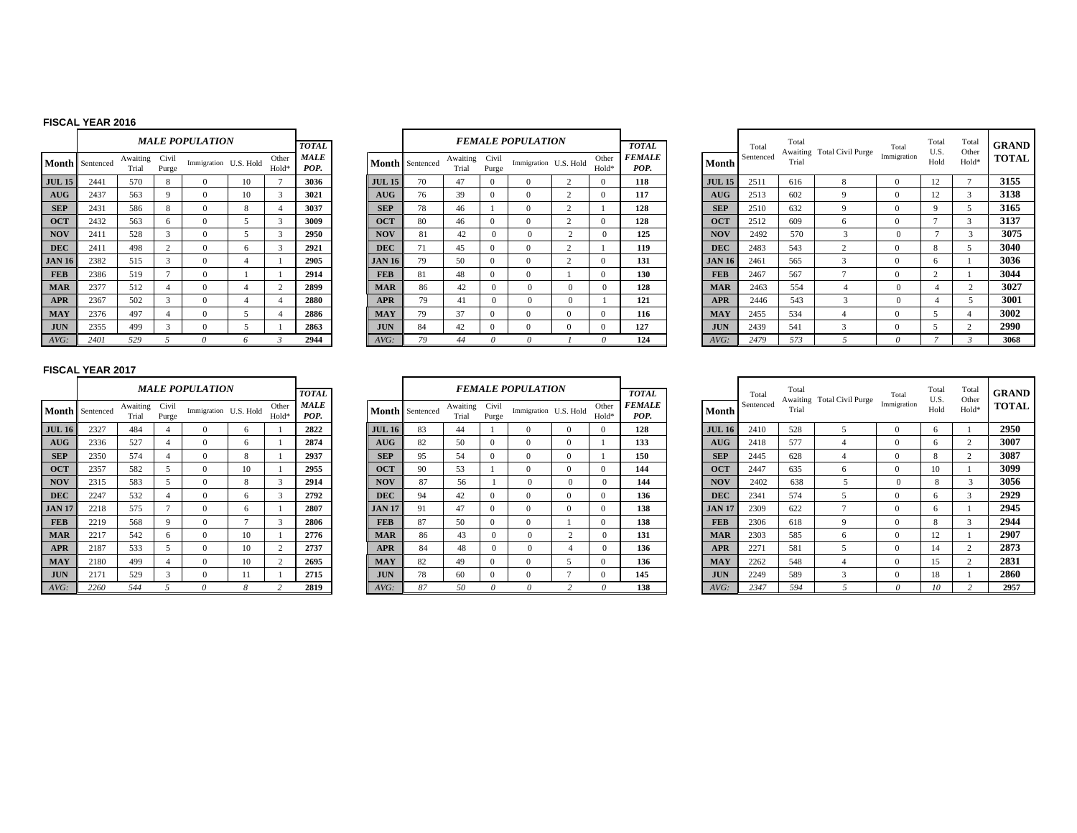### **FISCAL YEAR 2016**

|               |           |                   |                | <b>MALE POPULATION</b> |                |                | <b>TOTAL</b>        |               |
|---------------|-----------|-------------------|----------------|------------------------|----------------|----------------|---------------------|---------------|
| Month         | Sentenced | Awaiting<br>Trial | Civil<br>Purge | Immigration U.S. Hold  |                | Other<br>Hold* | <b>MALE</b><br>POP. | Month         |
| <b>JUL 15</b> | 2441      | 570               | 8              | $\Omega$               | 10             | 7              | 3036                | <b>JUL 15</b> |
| AUG           | 2437      | 563               | 9              | $\Omega$               | 10             | 3              | 3021                | <b>AUG</b>    |
| <b>SEP</b>    | 2431      | 586               | 8              | $\Omega$               | 8              | $\overline{4}$ | 3037                | <b>SEP</b>    |
| <b>OCT</b>    | 2432      | 563               | 6              | $\mathbf{0}$           | 5              | 3              | 3009                | <b>OCT</b>    |
| <b>NOV</b>    | 2411      | 528               | 3              | $\Omega$               | 5              | 3              | 2950                | <b>NOV</b>    |
| <b>DEC</b>    | 2411      | 498               | 2              | $\Omega$               | 6              | 3              | 2921                | <b>DEC</b>    |
| <b>JAN 16</b> | 2382      | 515               | 3              | $\mathbf{0}$           | $\overline{4}$ | 1              | 2905                | <b>JAN 16</b> |
| <b>FEB</b>    | 2386      | 519               | $\overline{7}$ | $\Omega$               | 1              | 1              | 2914                | <b>FEB</b>    |
| <b>MAR</b>    | 2377      | 512               | 4              | $\Omega$               | $\overline{4}$ | 2              | 2899                | <b>MAR</b>    |
| <b>APR</b>    | 2367      | 502               | 3              | $\Omega$               | $\overline{4}$ | $\overline{4}$ | 2880                | <b>APR</b>    |
| <b>MAY</b>    | 2376      | 497               | $\overline{4}$ | $\Omega$               | 5              | $\overline{4}$ | 2886                | <b>MAY</b>    |
| <b>JUN</b>    | 2355      | 499               | 3              | $\Omega$               | 5              | 1              | 2863                | <b>JUN</b>    |
| AVG:          | 2401      | 529               | 5              | $\theta$               | 6              | $\mathfrak{Z}$ | 2944                | AVG:          |

|                         |                | MALE POPULATION       |    |                | <b>TOTAL</b>        |               |           |                   |                | <b>FEMALE POPULATION</b> |                |                | <b>TOTAL</b>          |               | Total     | Tota<br>Awaiti |
|-------------------------|----------------|-----------------------|----|----------------|---------------------|---------------|-----------|-------------------|----------------|--------------------------|----------------|----------------|-----------------------|---------------|-----------|----------------|
| ting<br>aı              | Civil<br>Purge | Immigration U.S. Hold |    | Other<br>Hold* | <b>MALE</b><br>POP. | Month         | Sentenced | Awaiting<br>Trial | Civil<br>Purge | Immigration U.S. Hold    |                | Other<br>Hold* | <b>FEMALE</b><br>POP. | Month         | Sentenced | Trial          |
| ∩                       | 8              | $\Omega$              | 10 | $\overline{ }$ | 3036                | <b>JUL 15</b> | 70        | 47                | $\Omega$       | $\Omega$                 | 2              | $\mathbf{0}$   | 118                   | <b>JUL 15</b> | 2511      | 616            |
| 3                       | 9              | $\Omega$              | 10 | 3              | 3021                | AUG           | 76        | 39                | $\Omega$       | $\Omega$                 | 2              | $\Omega$       | 117                   | AUG           | 2513      | 602            |
| 6                       | 8              | $\Omega$              | 8  | 4              | 3037                | <b>SEP</b>    | 78        | 46                |                | $\Omega$                 | $\overline{c}$ |                | 128                   | <b>SEP</b>    | 2510      | 632            |
| $\overline{\mathbf{3}}$ | 6              | $\Omega$              | 5  | 3              | 3009                | <b>OCT</b>    | 80        | 46                | $\Omega$       | $\Omega$                 | 2              | $\Omega$       | 128                   | <b>OCT</b>    | 2512      | 609            |
| 8                       | 3              | $\Omega$              | 5  | 3              | 2950                | <b>NOV</b>    | 81        | 42                | $\mathbf{0}$   | $\mathbf{0}$             | $\overline{2}$ | $\mathbf{0}$   | 125                   | <b>NOV</b>    | 2492      | 570            |
| 8                       | 2              | $\Omega$              | 6  | 3              | 2921                | <b>DEC</b>    | 71        | 45                | $\Omega$       | $\Omega$                 | 2              |                | 119                   | <b>DEC</b>    | 2483      | 543            |
| 5                       | 3              | $\Omega$              | 4  |                | 2905                | <b>JAN 16</b> | 79        | 50                | $\mathbf{0}$   | $\Omega$                 | $\overline{c}$ | $\mathbf{0}$   | 131                   | <b>JAN 16</b> | 2461      | 565            |
| 9                       | $\overline{ }$ | $\Omega$              |    |                | 2914                | <b>FEB</b>    | 81        | 48                | $\mathbf{0}$   | $\Omega$                 |                | $\mathbf{0}$   | 130                   | <b>FEB</b>    | 2467      | 567            |
| ◠                       | 4              | $\Omega$              | 4  | 2              | 2899                | <b>MAR</b>    | 86        | 42                | $\Omega$       | $\mathbf{0}$             | $\Omega$       | $\mathbf{0}$   | 128                   | <b>MAR</b>    | 2463      | 554            |
| ⌒                       | 3              | $\Omega$              | 4  | 4              | 2880                | <b>APR</b>    | 79        | 41                | $\Omega$       | $\Omega$                 | $\Omega$       |                | 121                   | <b>APR</b>    | 2446      | 543            |
| ∍                       | 4              | $\Omega$              | 5  |                | 2886                | <b>MAY</b>    | 79        | 37                | $\Omega$       | $\Omega$                 | $\Omega$       | $\mathbf{0}$   | 116                   | <b>MAY</b>    | 2455      | 534            |
|                         | 3              | $\Omega$              | 5  |                | 2863                | <b>JUN</b>    | 84        | 42                | $\mathbf{0}$   | $\Omega$                 | $\mathbf{0}$   | $\mathbf{0}$   | 127                   | <b>JUN</b>    | 2439      | 541            |
|                         |                | $\theta$              | 6  | 3              | 2944                | AVG:          | 79        | 44                | $\theta$       | 0                        |                | 0              | 124                   | AVG:          | 2479      | 573            |

|                  |                      |                   |                | <b>MALE POPULATION</b> |    |                            | <b>TOTAL</b>        |               |                 |                   |                | <b>FEMALE POPULATION</b> |                            | <b>TOTAL</b>          |               | Total     | Total | Awaiting Total Civil Purge | Total       | Total<br>U.S. | Total<br>Other | GRAND        |
|------------------|----------------------|-------------------|----------------|------------------------|----|----------------------------|---------------------|---------------|-----------------|-------------------|----------------|--------------------------|----------------------------|-----------------------|---------------|-----------|-------|----------------------------|-------------|---------------|----------------|--------------|
|                  | <b>1th</b> Sentenced | Awaiting<br>Trial | Civil<br>Purge | Immigration U.S. Hold  |    | Other<br>Hold <sup>-</sup> | <b>MALE</b><br>POP. |               | Month Sentenced | Awaiting<br>Trial | Civil<br>Purge | Immigration U.S. Hold    | Other<br>Hold <sup>*</sup> | <b>FEMALE</b><br>POP. | <b>Month</b>  | Sentenced | Trial |                            | Immigration | Hold          | Hold*          | <b>TOTAL</b> |
| 15 <sup>15</sup> | 2441                 | 570               | 8              |                        | 10 |                            | 3036                | <b>JUL 15</b> | 70              | 47                | $^{\circ}$     |                          | $^{\circ}$                 | 118                   | <b>JUL 15</b> | 2511      | 616   |                            | $\Omega$    | 12            |                | 3155         |
|                  | 2437                 | 563               |                | 0                      | 10 |                            | 3021                | AUG           | 76              | 39                | $^{\circ}$     |                          |                            | 117                   | <b>AUG</b>    | 2513      | 602   |                            | $\Omega$    | 12            |                | 3138         |
|                  | 2431                 | 586               | 8              |                        |    |                            | 3037                | <b>SEP</b>    | 78              | 46                |                |                          |                            | 128                   | <b>SEP</b>    | 2510      | 632   |                            | $\Omega$    |               |                | 3165         |
|                  | 2432                 | 563               |                | $\Omega$               |    |                            | 3009                | <b>OCT</b>    | -80             | 46                | $^{\circ}$     |                          | $^{\circ}$                 | 128                   | <b>OCT</b>    | 2512      | 609   |                            | $\Omega$    |               |                | 3137         |
|                  | 2411                 | 528               |                | $\Omega$               |    |                            | 2950                | <b>NOV</b>    | $\mathbf{R}$    | 42                | $\Omega$       |                          | $^{\circ}$                 | 125                   | <b>NOV</b>    | 2492      | 570   |                            |             |               |                | 3075         |
|                  | 2411                 | 498               |                |                        |    |                            | 2921                | <b>DEC</b>    |                 | 45                |                |                          |                            | 119                   | <b>DEC</b>    | 2483      | 543   |                            |             |               |                | 3040         |
| 16               | 2382                 | 515               |                | $\Omega$               |    |                            | 2905                | <b>JAN 16</b> | 79              | 50                |                |                          |                            | 131                   | <b>JAN 16</b> | 2461      | 565   |                            |             |               |                | 3036         |
|                  | 2386                 | 519               |                |                        |    |                            | 2914                | <b>FEB</b>    | 81              | 48                | $^{\circ}$     |                          |                            | 130                   | <b>FEB</b>    | 2467      | 567   |                            | $^{\circ}$  |               |                | 3044         |
|                  | 2377                 | 512               |                | $\Omega$               |    |                            | 2899                | <b>MAR</b>    | 86              | 42                | $^{\circ}$     |                          | $^{\circ}$                 | 128                   | <b>MAR</b>    | 2463      | 554   |                            |             |               |                | 3027         |
|                  | 2367                 | 502               |                | $\Omega$               |    |                            | 2880                | <b>APR</b>    | 79              | 41                | $\Omega$       |                          |                            | 121                   | <b>APR</b>    | 2446      | 543   |                            |             |               |                | 3001         |
|                  | 2376                 | 497               |                | 0                      |    |                            | 2886                | <b>MAY</b>    | 79              | 37                | $^{\circ}$     |                          |                            | 116                   | <b>MAY</b>    | 2455      | 534   |                            | $\Omega$    |               |                | 3002         |
|                  | 2355                 | 499               |                |                        |    |                            | 2863                | <b>JUN</b>    | 84              | 42                | $\Omega$       |                          |                            | 127                   | <b>JUN</b>    | 2439      | 541   |                            | $\theta$    |               |                | 2990         |
|                  | 2401                 | 529               |                |                        |    |                            | 2944                | AVG:          |                 | 44                |                |                          |                            | 124                   | AVG:          | 2479      | 573   |                            |             |               |                | 3068         |

|               |           |                   |                | <b>MALE POPULATION</b> |           |                |                                     |
|---------------|-----------|-------------------|----------------|------------------------|-----------|----------------|-------------------------------------|
| <b>Month</b>  | Sentenced | Awaiting<br>Trial | Civil<br>Purge | Immigration            | U.S. Hold | Other<br>Hold* | <b>TOTAL</b><br><b>MALE</b><br>POP. |
| <b>JUL 16</b> | 2327      | 484               | 4              | $\Omega$               | 6         | 1              | 2822                                |
| AUG           | 2336      | 527               | $\overline{4}$ | $\Omega$               | 6         | 1              | 2874                                |
| <b>SEP</b>    | 2350      | 574               | 4              | $\Omega$               | 8         | 1              | 2937                                |
| <b>OCT</b>    | 2357      | 582               | 5              | $\Omega$               | 10        | 1              | 2955                                |
| <b>NOV</b>    | 2315      | 583               | 5              | $\Omega$               | 8         | 3              | 2914                                |
| <b>DEC</b>    | 2247      | 532               | 4              | $\Omega$               | 6         | 3              | 2792                                |
| <b>JAN 17</b> | 2218      | 575               | 7              | $\Omega$               | 6         | 1              | 2807                                |
| <b>FEB</b>    | 2219      | 568               | 9              | $\Omega$               | 7         | 3              | 2806                                |
| <b>MAR</b>    | 2217      | 542               | 6              | $\Omega$               | 10        | 1              | 2776                                |
| <b>APR</b>    | 2187      | 533               | 5              | $\Omega$               | 10        | $\overline{c}$ | 2737                                |
| <b>MAY</b>    | 2180      | 499               | 4              | $\Omega$               | 10        | $\overline{c}$ | 2695                                |
| <b>JUN</b>    | 2171      | 529               | 3              | $\Omega$               | 11        | 1              | 2715                                |
| AVG:          | 2260      | 544               | 5              | $\theta$               | 8         | $\overline{c}$ | 2819                                |

|               |                 |                   |                | <b>MALE POPULATION</b> |                |                | <b>TOTAL</b> |               |                        |                   |                | <b>FEMALE POPULATION</b> |                |                | <b>TOTAL</b>          |               | Total    |
|---------------|-----------------|-------------------|----------------|------------------------|----------------|----------------|--------------|---------------|------------------------|-------------------|----------------|--------------------------|----------------|----------------|-----------------------|---------------|----------|
|               | Month Sentenced | Awaiting<br>Trial | Civil<br>Purge | Immigration U.S. Hold  |                | Other<br>Hold* | MALE<br>POP. |               | <b>Month</b> Sentenced | Awaiting<br>Trial | Civil<br>Purge | Immigration U.S. Hold    |                | Other<br>Hold* | <b>FEMALE</b><br>POP. | Month         | Sentence |
| <b>JUL 16</b> | 2327            | 484               | 4              | $\Omega$               | 6              |                | 2822         | <b>JUL 16</b> | 83                     | 44                |                |                          | $\Omega$       |                | 128                   | <b>JUL 16</b> | 2410     |
| AUG           | 2336            | 527               | 4              | $\Omega$               | 6              |                | 2874         | AUG           | 82                     | 50                | $\Omega$       | $\Omega$                 | $\Omega$       |                | 133                   | AUG           | 2418     |
| <b>SEP</b>    | 2350            | 574               | 4              | $\Omega$               | 8              |                | 2937         | <b>SEP</b>    | 95                     | 54                | $\overline{0}$ | 0                        | $\Omega$       |                | 150                   | <b>SEP</b>    | 2445     |
| <b>OCT</b>    | 2357            | 582               | 5              | $\Omega$               | 10             |                | 2955         | <b>OCT</b>    | 90                     | 53                |                | $\Omega$                 | $\Omega$       |                | 144                   | <b>OCT</b>    | 2447     |
| <b>NOV</b>    | 2315            | 583               | 5              | $\Omega$               | 8              | 3              | 2914         | <b>NOV</b>    | 87                     | 56                |                | $\Omega$                 | $\Omega$       | $\Omega$       | 144                   | <b>NOV</b>    | 2402     |
| <b>DEC</b>    | 2247            | 532               | 4              | $\Omega$               | 6              | 3              | 2792         | <b>DEC</b>    | 94                     | 42                | $\overline{0}$ | 0                        | $\Omega$       |                | 136                   | <b>DEC</b>    | 2341     |
| <b>JAN 17</b> | 2218            | 575               | Ξ              | $\mathbf{0}$           | 6              |                | 2807         | JAN 17        | 91                     | 47                | $\overline{0}$ | $\mathbf{0}$             | $\mathbf{0}$   | $\Omega$       | 138                   | <b>JAN 17</b> | 2309     |
| <b>FEB</b>    | 2219            | 568               | 9              | $\Omega$               | $\overline{ }$ | 3              | 2806         | <b>FEB</b>    | 87                     | 50                | $\overline{0}$ | $\Omega$                 |                |                | 138                   | <b>FEB</b>    | 2306     |
| <b>MAR</b>    | 2217            | 542               | 6              | $\mathbf{0}$           | 10             |                | 2776         | <b>MAR</b>    | 86                     | 43                | $\Omega$       | $\Omega$                 | $\overline{c}$ | 0              | 131                   | <b>MAR</b>    | 2303     |
| <b>APR</b>    | 2187            | 533               |                | $\Omega$               | 10             | 2              | 2737         | <b>APR</b>    | 84                     | 48                | $\Omega$       | $\Omega$                 | 4              | $\Omega$       | 136                   | <b>APR</b>    | 2271     |
| <b>MAY</b>    | 2180            | 499               | 4              | $\Omega$               | 10             | 2              | 2695         | <b>MAY</b>    | 82                     | 49                | $\overline{0}$ | 0                        | C.             |                | 136                   | <b>MAY</b>    | 2262     |
| <b>JUN</b>    | 2171            | 529               | 3              | $\mathbf{0}$           | 11             |                | 2715         | <b>JUN</b>    | 78                     | 60                | $\overline{0}$ | $\Omega$                 | $\overline{ }$ |                | 145                   | <b>JUN</b>    | 2249     |
| $AVG$ :       | 2260            | 544               |                | $\theta$               | 8              | $\mathcal{D}$  | 2819         | AVG:          | 87                     | 50                | 0              | 0                        | $\mathcal{D}$  | $\theta$       | 138                   | AVG:          | 2347     |

|    |                      |                   |                | <b>MALE POPULATION</b> |    |                | <b>TOTAL</b> |               |                 |                   |                | <b>FEMALE POPULATION</b> |                | <b>TOTAL</b>          |               | Total     | Total |                                        | Total      | Total<br>U.S. | Total<br>Other | <b>GRAND</b> |
|----|----------------------|-------------------|----------------|------------------------|----|----------------|--------------|---------------|-----------------|-------------------|----------------|--------------------------|----------------|-----------------------|---------------|-----------|-------|----------------------------------------|------------|---------------|----------------|--------------|
|    | <b>1th</b> Sentenced | Awaiting<br>Trial | Civil<br>Purge | Immigration U.S. Hold  |    | Other<br>Hold* | MALE<br>POP. |               | Month Sentenced | Awaiting<br>Trial | Civil<br>Purge | Immigration U.S. Hold    | Other<br>Hold* | <b>FEMALE</b><br>POP. | <b>Month</b>  | Sentenced | Trial | Awaiting Total Civil Purge Immigration |            | Hold          | Hold*          | <b>TOTAL</b> |
| 16 | 2327                 | 484               |                |                        |    |                | 2822         | <b>JUL 16</b> | 83              | 44                |                |                          |                | 128                   | <b>JUL 16</b> | 2410      | 528   |                                        |            |               |                | 2950         |
|    | 2336                 | 527               |                |                        |    |                | 2874         | AUG           | 82              | 50                |                |                          |                | 133                   | <b>AUG</b>    | 2418      | 577   |                                        |            |               |                | 3007         |
|    | 2350                 | 574               |                |                        |    |                | 2937         | <b>SEP</b>    | 95              | 54                |                |                          |                | 150                   | <b>SEP</b>    | 2445      | 628   |                                        |            |               |                | 3087         |
|    | 2357                 | 582               |                |                        | 10 |                | 2955         | <b>OCT</b>    | 90              | 53                |                |                          |                | 144                   | <b>OCT</b>    | 2447      | 635   | h                                      |            | 10            |                | 3099         |
|    | 2315                 | 583               |                |                        |    |                | 2914         | <b>NOV</b>    | 87              | 56                |                |                          |                | 144                   | <b>NOV</b>    | 2402      | 638   |                                        | $^{\circ}$ |               |                | 3056         |
|    | 2247                 | 532               |                |                        |    |                | 2792         | <b>DEC</b>    | 94              | 42                |                |                          |                | 136                   | <b>DEC</b>    | 2341      | 574   |                                        |            |               |                | 2929         |
|    | 2218                 | 575               |                |                        |    |                | 2807         | <b>JAN 17</b> | 91              | 47                |                |                          |                | 138                   | <b>JAN 17</b> | 2309      | 622   |                                        |            |               |                | 2945         |
|    | 2219                 | 568               |                |                        |    |                | 2806         | <b>FEB</b>    | 87              | 50                |                |                          |                | 138                   | <b>FEB</b>    | 2306      | 618   |                                        |            | 8             |                | 2944         |
|    | 2217                 | 542               |                |                        | 10 |                | 2776         | <b>MAR</b>    | 86              | 43                |                |                          |                | 131                   | <b>MAR</b>    | 2303      | 585   | 6                                      |            | 12            |                | 2907         |
|    | 2187                 | 533               |                |                        | 10 |                | 2737         | <b>APR</b>    | 84              | 48                |                |                          |                | 136                   | <b>APR</b>    | 2271      | 581   |                                        |            | 14            |                | 2873         |
|    | 2180                 | 499               |                | $^{\circ}$             | 10 |                | 2695         | <b>MAY</b>    | 82              | 49                |                |                          |                | 136                   | <b>MAY</b>    | 2262      | 548   |                                        |            | 15            |                | 2831         |
|    | 2171                 | 529               |                |                        |    |                | 2715         | <b>JUN</b>    | 78              | 60                |                |                          |                | 145                   | <b>JUN</b>    | 2249      | 589   |                                        |            | 18            |                | 2860         |
|    | 2260                 | 544               |                |                        |    |                | 2819         | $AVG$ :       | 87              | 50                |                |                          |                | 138                   | AVG:          | 2347      | 594   |                                        |            |               |                | 2957         |